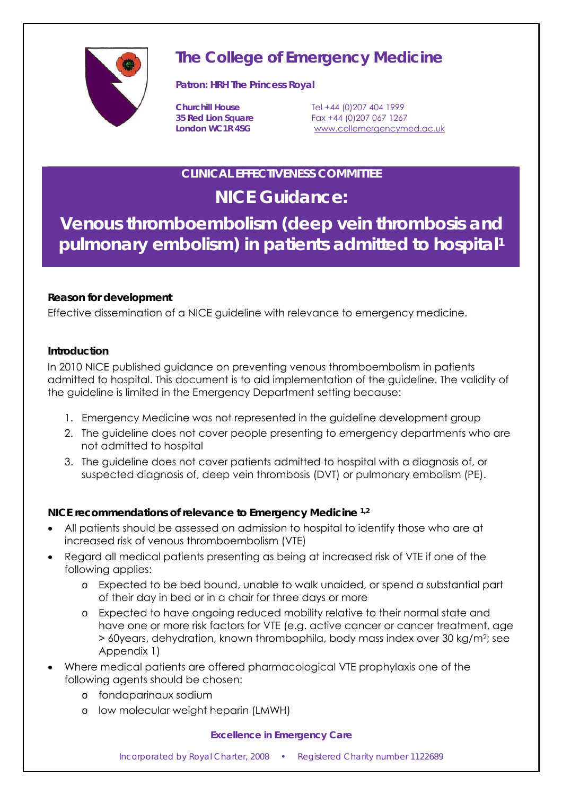

# **The College of Emergency Medicine**

**Patron: HRH The Princess Royal** 

**Churchill House** Tel +44 (0)207 404 1999 **35 Red Lion Square** Fax +44 (0)207 067 1267 London WC1R 4SG **www.collemergencymed.ac.uk** 

## **CLINICAL EFFECTIVENESS COMMITTEE**

## **NICE Guidance:**

**Venous thromboembolism (deep vein thrombosis and pulmonary embolism) in patients admitted to hospital1**

## **Reason for development**

Effective dissemination of a NICE guideline with relevance to emergency medicine.

#### **Introduction**

In 2010 NICE published guidance on preventing venous thromboembolism in patients admitted to hospital. This document is to aid implementation of the guideline. The validity of the guideline is limited in the Emergency Department setting because:

- 1. Emergency Medicine was not represented in the guideline development group
- 2. The guideline does not cover people presenting to emergency departments who are not admitted to hospital
- 3. The guideline does not cover patients admitted to hospital with a diagnosis of, or suspected diagnosis of, deep vein thrombosis (DVT) or pulmonary embolism (PE).

## **NICE recommendations of relevance to Emergency Medicine 1,2**

- All patients should be assessed on admission to hospital to identify those who are at increased risk of venous thromboembolism (VTE)
- Regard all medical patients presenting as being at increased risk of VTE if one of the following applies:
	- o Expected to be bed bound, unable to walk unaided, or spend a substantial part of their day in bed or in a chair for three days or more
	- o Expected to have ongoing reduced mobility relative to their normal state and have one or more risk factors for VTE (e.g. active cancer or cancer treatment, age > 60years, dehydration, known thrombophila, body mass index over 30 kg/m2; see Appendix 1)
- Where medical patients are offered pharmacological VTE prophylaxis one of the following agents should be chosen:
	- o fondaparinaux sodium
	- o low molecular weight heparin (LMWH)

#### *Excellence in Emergency Care*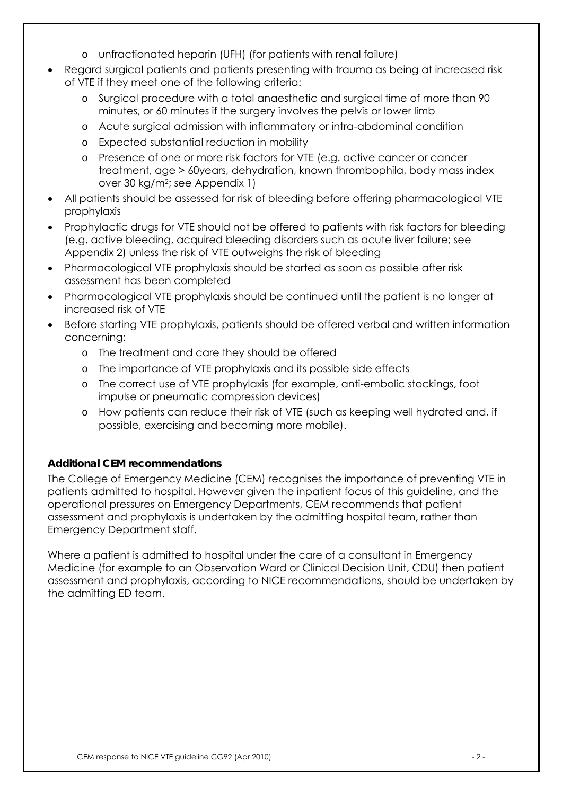- o unfractionated heparin (UFH) (for patients with renal failure)
- Regard surgical patients and patients presenting with trauma as being at increased risk of VTE if they meet one of the following criteria:
	- o Surgical procedure with a total anaesthetic and surgical time of more than 90 minutes, or 60 minutes if the surgery involves the pelvis or lower limb
	- o Acute surgical admission with inflammatory or intra-abdominal condition
	- o Expected substantial reduction in mobility
	- o Presence of one or more risk factors for VTE (e.g. active cancer or cancer treatment, age > 60years, dehydration, known thrombophila, body mass index over 30 kg/m2; see Appendix 1)
- All patients should be assessed for risk of bleeding before offering pharmacological VTE prophylaxis
- Prophylactic drugs for VTE should not be offered to patients with risk factors for bleeding (e.g. active bleeding, acquired bleeding disorders such as acute liver failure; see Appendix 2) unless the risk of VTE outweighs the risk of bleeding
- Pharmacological VTE prophylaxis should be started as soon as possible after risk assessment has been completed
- Pharmacological VTE prophylaxis should be continued until the patient is no longer at increased risk of VTE
- Before starting VTE prophylaxis, patients should be offered verbal and written information concerning:
	- o The treatment and care they should be offered
	- o The importance of VTE prophylaxis and its possible side effects
	- o The correct use of VTE prophylaxis (for example, anti-embolic stockings, foot impulse or pneumatic compression devices)
	- o How patients can reduce their risk of VTE (such as keeping well hydrated and, if possible, exercising and becoming more mobile).

## **Additional CEM recommendations**

The College of Emergency Medicine (CEM) recognises the importance of preventing VTE in patients admitted to hospital. However given the inpatient focus of this guideline, and the operational pressures on Emergency Departments, CEM recommends that patient assessment and prophylaxis is undertaken by the admitting hospital team, rather than Emergency Department staff.

Where a patient is admitted to hospital under the care of a consultant in Emergency Medicine (for example to an Observation Ward or Clinical Decision Unit, CDU) then patient assessment and prophylaxis, according to NICE recommendations, should be undertaken by the admitting ED team.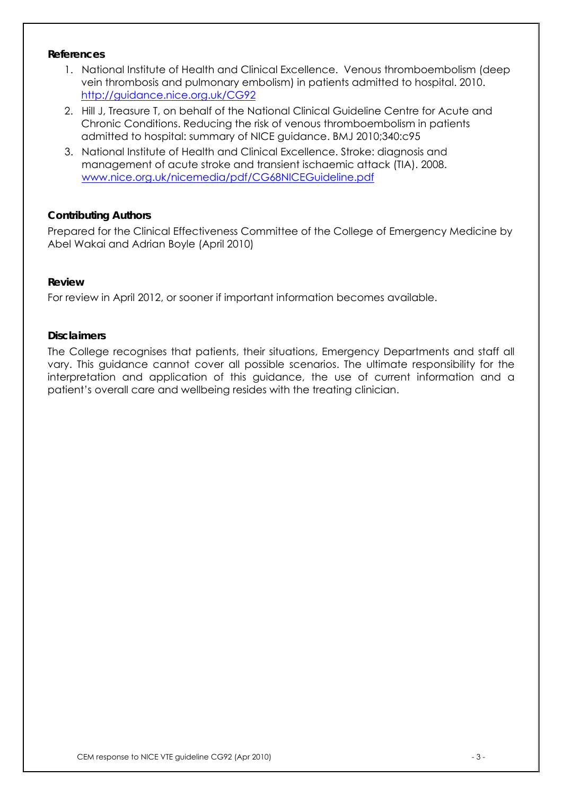#### **References**

- 1. National Institute of Health and Clinical Excellence. Venous thromboembolism (deep vein thrombosis and pulmonary embolism) in patients admitted to hospital. 2010. http://guidance.nice.org.uk/CG92
- 2. Hill J, Treasure T, on behalf of the National Clinical Guideline Centre for Acute and Chronic Conditions. Reducing the risk of venous thromboembolism in patients admitted to hospital: summary of NICE guidance. BMJ 2010;340:c95
- 3. National Institute of Health and Clinical Excellence. Stroke: diagnosis and management of acute stroke and transient ischaemic attack (TIA). 2008. www.nice.org.uk/nicemedia/pdf/CG68NICEGuideline.pdf

#### **Contributing Authors**

Prepared for the Clinical Effectiveness Committee of the College of Emergency Medicine by Abel Wakai and Adrian Boyle (April 2010)

#### **Review**

For review in April 2012, or sooner if important information becomes available.

#### **Disclaimers**

The College recognises that patients, their situations, Emergency Departments and staff all vary. This guidance cannot cover all possible scenarios. The ultimate responsibility for the interpretation and application of this guidance, the use of current information and a patient's overall care and wellbeing resides with the treating clinician.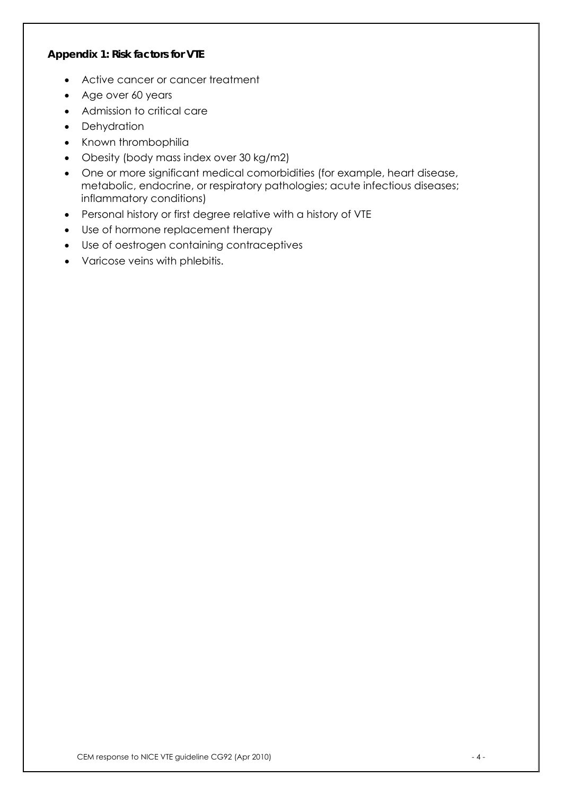#### **Appendix 1: Risk factors for VTE**

- Active cancer or cancer treatment
- Age over 60 years
- Admission to critical care
- Dehydration
- Known thrombophilia
- Obesity (body mass index over 30 kg/m2)
- One or more significant medical comorbidities (for example, heart disease, metabolic, endocrine, or respiratory pathologies; acute infectious diseases; inflammatory conditions)
- Personal history or first degree relative with a history of VTE
- Use of hormone replacement therapy
- Use of oestrogen containing contraceptives
- Varicose veins with phlebitis.